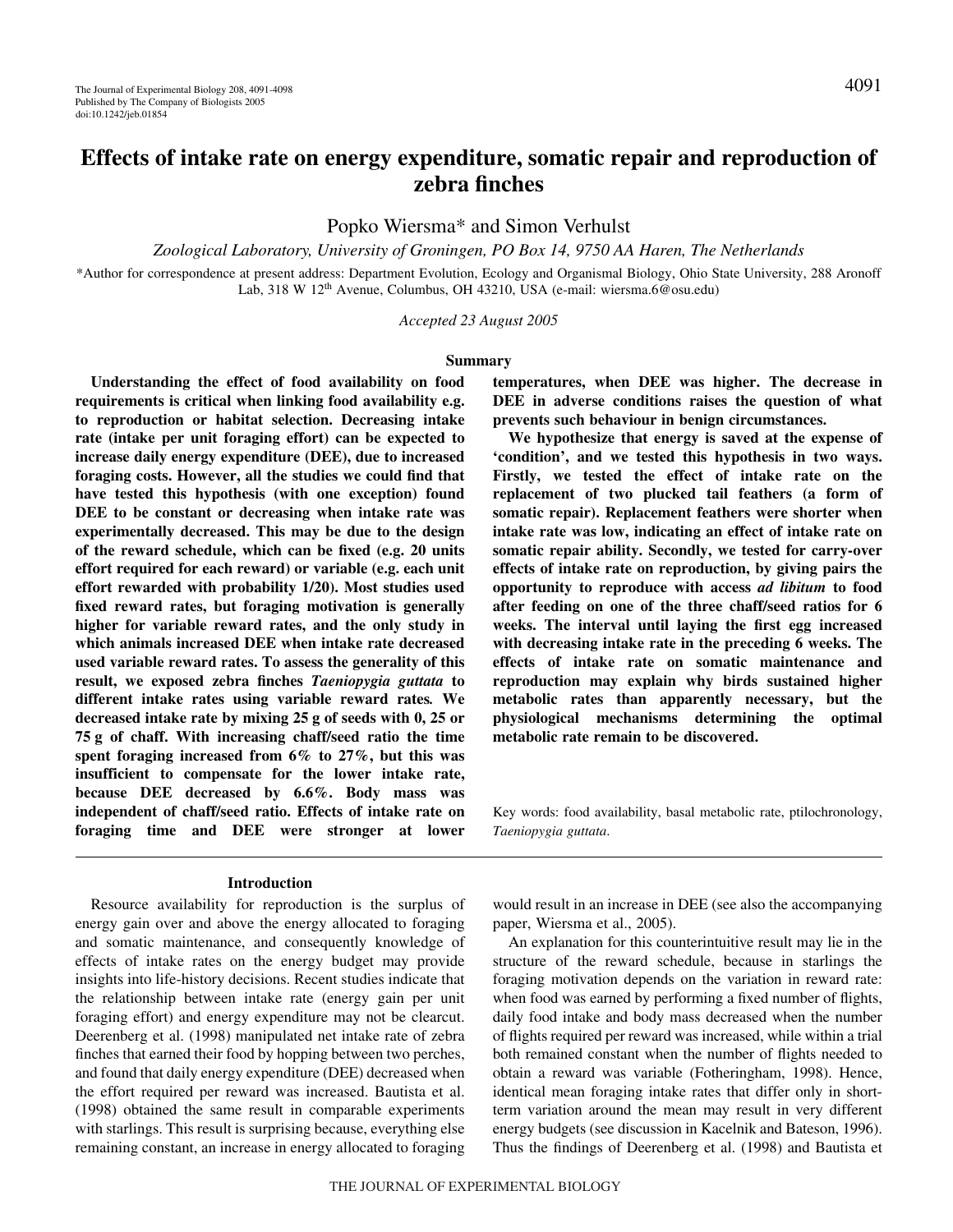# **Effects of intake rate on energy expenditure, somatic repair and reproduction of zebra finches**

Popko Wiersma\* and Simon Verhulst

*Zoological Laboratory, University of Groningen, PO Box 14, 9750 AA Haren, The Netherlands*

\*Author for correspondence at present address: Department Evolution, Ecology and Organismal Biology, Ohio State University, 288 Aronoff Lab, 318 W 12th Avenue, Columbus, OH 43210, USA (e-mail: wiersma.6@osu.edu)

*Accepted 23 August 2005*

## **Summary**

**Understanding the effect of food availability on food requirements is critical when linking food availability e.g. to reproduction or habitat selection. Decreasing intake rate (intake per unit foraging effort) can be expected to increase daily energy expenditure (DEE), due to increased foraging costs. However, all the studies we could find that have tested this hypothesis (with one exception) found DEE to be constant or decreasing when intake rate was experimentally decreased. This may be due to the design of the reward schedule, which can be fixed (e.g. 20 units effort required for each reward) or variable (e.g. each unit effort rewarded with probability 1/20). Most studies used fixed reward rates, but foraging motivation is generally higher for variable reward rates, and the only study in which animals increased DEE when intake rate decreased used variable reward rates. To assess the generality of this result, we exposed zebra finches** *Taeniopygia guttata* **to different intake rates using variable reward rates***.* **We decreased intake rate by mixing 25·g of seeds with 0, 25 or 75·g of chaff. With increasing chaff/seed ratio the time spent foraging increased from 6% to 27%, but this was insufficient to compensate for the lower intake rate, because DEE decreased by 6.6%. Body mass was independent of chaff/seed ratio. Effects of intake rate on foraging time and DEE were stronger at lower**

## **Introduction**

Resource availability for reproduction is the surplus of energy gain over and above the energy allocated to foraging and somatic maintenance, and consequently knowledge of effects of intake rates on the energy budget may provide insights into life-history decisions. Recent studies indicate that the relationship between intake rate (energy gain per unit foraging effort) and energy expenditure may not be clearcut. Deerenberg et al. (1998) manipulated net intake rate of zebra finches that earned their food by hopping between two perches, and found that daily energy expenditure (DEE) decreased when the effort required per reward was increased. Bautista et al. (1998) obtained the same result in comparable experiments with starlings. This result is surprising because, everything else remaining constant, an increase in energy allocated to foraging **temperatures, when DEE was higher. The decrease in DEE in adverse conditions raises the question of what prevents such behaviour in benign circumstances.** 

**We hypothesize that energy is saved at the expense of 'condition', and we tested this hypothesis in two ways. Firstly, we tested the effect of intake rate on the replacement of two plucked tail feathers (a form of somatic repair). Replacement feathers were shorter when intake rate was low, indicating an effect of intake rate on somatic repair ability. Secondly, we tested for carry-over effects of intake rate on reproduction, by giving pairs the opportunity to reproduce with access** *ad libitum* **to food after feeding on one of the three chaff/seed ratios for 6 weeks. The interval until laying the first egg increased with decreasing intake rate in the preceding 6 weeks. The effects of intake rate on somatic maintenance and reproduction may explain why birds sustained higher metabolic rates than apparently necessary, but the physiological mechanisms determining the optimal metabolic rate remain to be discovered.**

Key words: food availability, basal metabolic rate, ptilochronology, *Taeniopygia guttata*.

would result in an increase in DEE (see also the accompanying paper, Wiersma et al., 2005).

An explanation for this counterintuitive result may lie in the structure of the reward schedule, because in starlings the foraging motivation depends on the variation in reward rate: when food was earned by performing a fixed number of flights, daily food intake and body mass decreased when the number of flights required per reward was increased, while within a trial both remained constant when the number of flights needed to obtain a reward was variable (Fotheringham, 1998). Hence, identical mean foraging intake rates that differ only in shortterm variation around the mean may result in very different energy budgets (see discussion in Kacelnik and Bateson, 1996). Thus the findings of Deerenberg et al. (1998) and Bautista et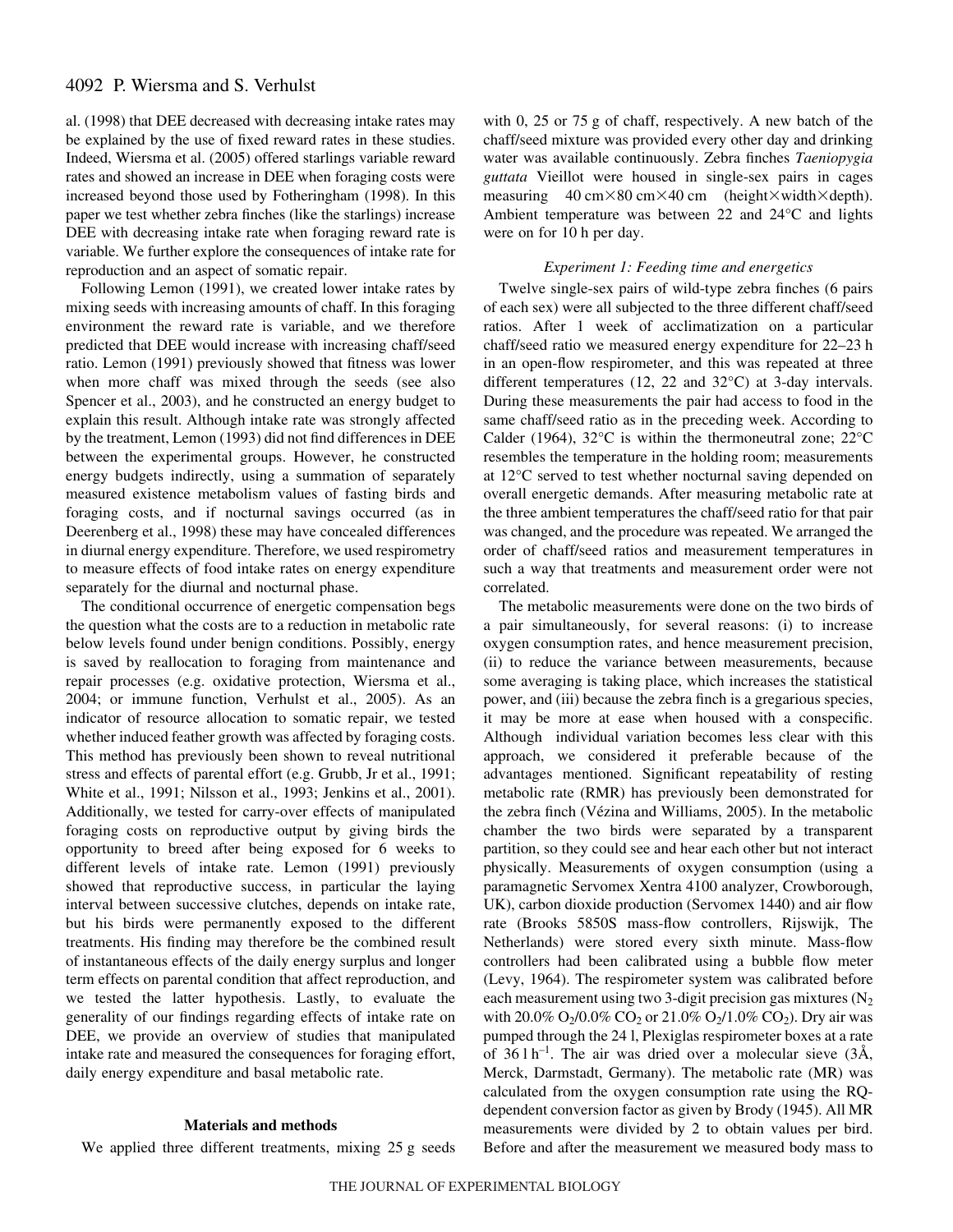# 4092 P. Wiersma and S. Verhulst

al. (1998) that DEE decreased with decreasing intake rates may be explained by the use of fixed reward rates in these studies. Indeed, Wiersma et al. (2005) offered starlings variable reward rates and showed an increase in DEE when foraging costs were increased beyond those used by Fotheringham (1998). In this paper we test whether zebra finches (like the starlings) increase DEE with decreasing intake rate when foraging reward rate is variable. We further explore the consequences of intake rate for reproduction and an aspect of somatic repair.

Following Lemon (1991), we created lower intake rates by mixing seeds with increasing amounts of chaff. In this foraging environment the reward rate is variable, and we therefore predicted that DEE would increase with increasing chaff/seed ratio. Lemon (1991) previously showed that fitness was lower when more chaff was mixed through the seeds (see also Spencer et al., 2003), and he constructed an energy budget to explain this result. Although intake rate was strongly affected by the treatment, Lemon (1993) did not find differences in DEE between the experimental groups. However, he constructed energy budgets indirectly, using a summation of separately measured existence metabolism values of fasting birds and foraging costs, and if nocturnal savings occurred (as in Deerenberg et al., 1998) these may have concealed differences in diurnal energy expenditure. Therefore, we used respirometry to measure effects of food intake rates on energy expenditure separately for the diurnal and nocturnal phase.

The conditional occurrence of energetic compensation begs the question what the costs are to a reduction in metabolic rate below levels found under benign conditions. Possibly, energy is saved by reallocation to foraging from maintenance and repair processes (e.g. oxidative protection, Wiersma et al., 2004; or immune function, Verhulst et al., 2005). As an indicator of resource allocation to somatic repair, we tested whether induced feather growth was affected by foraging costs. This method has previously been shown to reveal nutritional stress and effects of parental effort (e.g. Grubb, Jr et al., 1991; White et al., 1991; Nilsson et al., 1993; Jenkins et al., 2001). Additionally, we tested for carry-over effects of manipulated foraging costs on reproductive output by giving birds the opportunity to breed after being exposed for 6 weeks to different levels of intake rate. Lemon (1991) previously showed that reproductive success, in particular the laying interval between successive clutches, depends on intake rate, but his birds were permanently exposed to the different treatments. His finding may therefore be the combined result of instantaneous effects of the daily energy surplus and longer term effects on parental condition that affect reproduction, and we tested the latter hypothesis. Lastly, to evaluate the generality of our findings regarding effects of intake rate on DEE, we provide an overview of studies that manipulated intake rate and measured the consequences for foraging effort, daily energy expenditure and basal metabolic rate.

# **Materials and methods**

We applied three different treatments, mixing 25 g seeds

with 0, 25 or 75  $g$  of chaff, respectively. A new batch of the chaff/seed mixture was provided every other day and drinking water was available continuously. Zebra finches *Taeniopygia guttata* Vieillot were housed in single-sex pairs in cages measuring 40 cm×80 cm×40 cm (height×width×depth). Ambient temperature was between 22 and 24°C and lights were on for 10 h per day.

# *Experiment 1: Feeding time and energetics*

Twelve single-sex pairs of wild-type zebra finches (6 pairs of each sex) were all subjected to the three different chaff/seed ratios. After 1 week of acclimatization on a particular chaff/seed ratio we measured energy expenditure for 22–23 h in an open-flow respirometer, and this was repeated at three different temperatures (12, 22 and 32°C) at 3-day intervals. During these measurements the pair had access to food in the same chaff/seed ratio as in the preceding week. According to Calder (1964),  $32^{\circ}$ C is within the thermoneutral zone;  $22^{\circ}$ C resembles the temperature in the holding room; measurements at 12°C served to test whether nocturnal saving depended on overall energetic demands. After measuring metabolic rate at the three ambient temperatures the chaff/seed ratio for that pair was changed, and the procedure was repeated. We arranged the order of chaff/seed ratios and measurement temperatures in such a way that treatments and measurement order were not correlated.

The metabolic measurements were done on the two birds of a pair simultaneously, for several reasons: (i) to increase oxygen consumption rates, and hence measurement precision, (ii) to reduce the variance between measurements, because some averaging is taking place, which increases the statistical power, and (iii) because the zebra finch is a gregarious species, it may be more at ease when housed with a conspecific. Although individual variation becomes less clear with this approach, we considered it preferable because of the advantages mentioned. Significant repeatability of resting metabolic rate (RMR) has previously been demonstrated for the zebra finch (Vézina and Williams, 2005). In the metabolic chamber the two birds were separated by a transparent partition, so they could see and hear each other but not interact physically. Measurements of oxygen consumption (using a paramagnetic Servomex Xentra 4100 analyzer, Crowborough, UK), carbon dioxide production (Servomex 1440) and air flow rate (Brooks 5850S mass-flow controllers, Rijswijk, The Netherlands) were stored every sixth minute. Mass-flow controllers had been calibrated using a bubble flow meter (Levy, 1964). The respirometer system was calibrated before each measurement using two 3-digit precision gas mixtures (N<sub>2</sub>) with 20.0% O<sub>2</sub>/0.0% CO<sub>2</sub> or 21.0% O<sub>2</sub>/1.0% CO<sub>2</sub>). Dry air was pumped through the 24 l, Plexiglas respirometer boxes at a rate of  $36 \, \text{1 h}^{-1}$ . The air was dried over a molecular sieve  $(3\text{Å}, )$ Merck, Darmstadt, Germany). The metabolic rate (MR) was calculated from the oxygen consumption rate using the RQdependent conversion factor as given by Brody (1945). All MR measurements were divided by 2 to obtain values per bird. Before and after the measurement we measured body mass to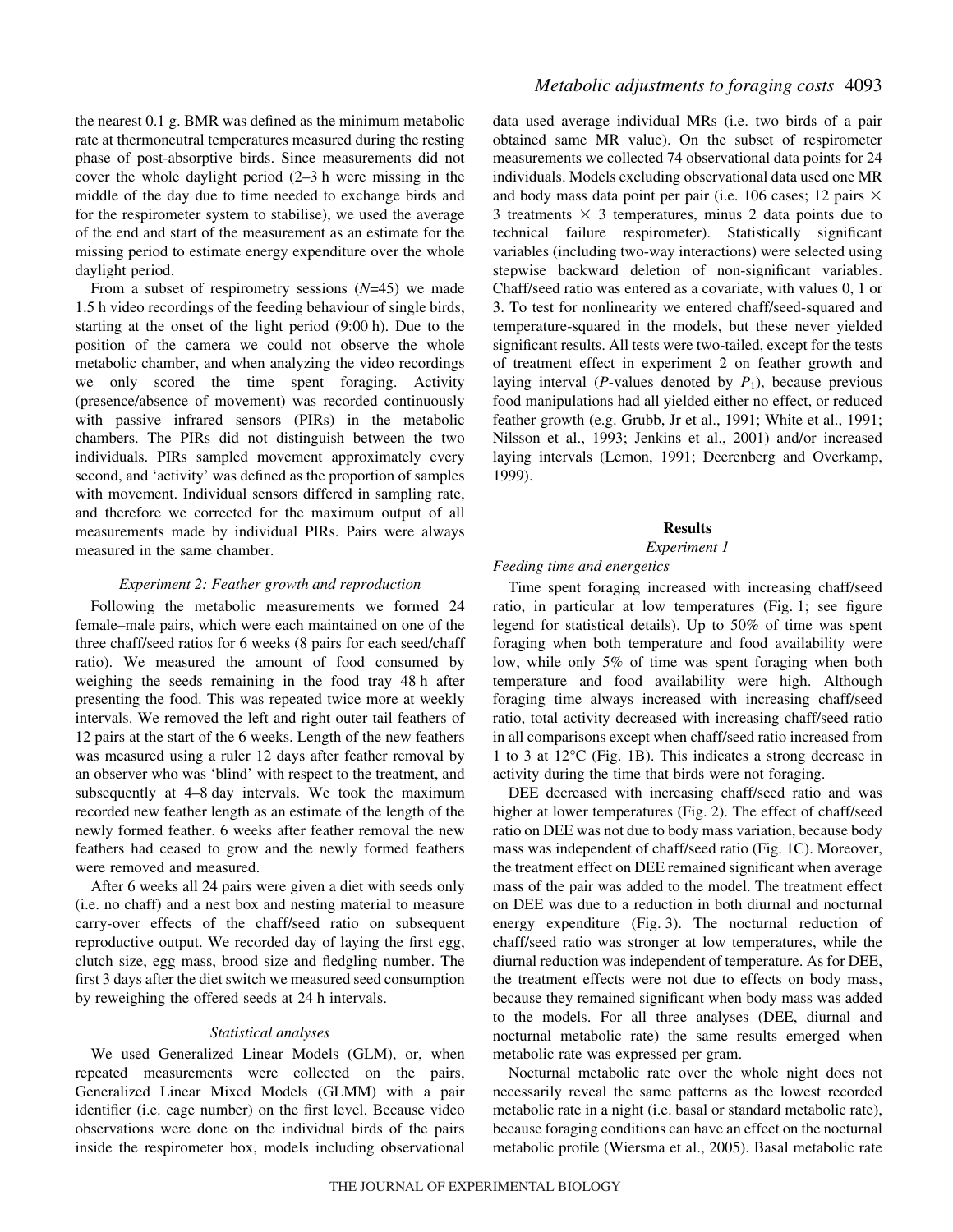the nearest  $0.1$  g. BMR was defined as the minimum metabolic rate at thermoneutral temperatures measured during the resting phase of post-absorptive birds. Since measurements did not cover the whole daylight period  $(2-3h)$  were missing in the middle of the day due to time needed to exchange birds and for the respirometer system to stabilise), we used the average of the end and start of the measurement as an estimate for the missing period to estimate energy expenditure over the whole daylight period.

From a subset of respirometry sessions (*N*=45) we made 1.5 h video recordings of the feeding behaviour of single birds, starting at the onset of the light period  $(9:00 h)$ . Due to the position of the camera we could not observe the whole metabolic chamber, and when analyzing the video recordings we only scored the time spent foraging. Activity (presence/absence of movement) was recorded continuously with passive infrared sensors (PIRs) in the metabolic chambers. The PIRs did not distinguish between the two individuals. PIRs sampled movement approximately every second, and 'activity' was defined as the proportion of samples with movement. Individual sensors differed in sampling rate, and therefore we corrected for the maximum output of all measurements made by individual PIRs. Pairs were always measured in the same chamber.

## *Experiment 2: Feather growth and reproduction*

Following the metabolic measurements we formed 24 female–male pairs, which were each maintained on one of the three chaff/seed ratios for 6 weeks (8 pairs for each seed/chaff ratio). We measured the amount of food consumed by weighing the seeds remaining in the food tray 48 h after presenting the food. This was repeated twice more at weekly intervals. We removed the left and right outer tail feathers of 12 pairs at the start of the 6 weeks. Length of the new feathers was measured using a ruler 12 days after feather removal by an observer who was 'blind' with respect to the treatment, and subsequently at 4–8 day intervals. We took the maximum recorded new feather length as an estimate of the length of the newly formed feather. 6 weeks after feather removal the new feathers had ceased to grow and the newly formed feathers were removed and measured.

After 6 weeks all 24 pairs were given a diet with seeds only (i.e. no chaff) and a nest box and nesting material to measure carry-over effects of the chaff/seed ratio on subsequent reproductive output. We recorded day of laying the first egg, clutch size, egg mass, brood size and fledgling number. The first 3 days after the diet switch we measured seed consumption by reweighing the offered seeds at 24 h intervals.

#### *Statistical analyses*

We used Generalized Linear Models (GLM), or, when repeated measurements were collected on the pairs, Generalized Linear Mixed Models (GLMM) with a pair identifier (i.e. cage number) on the first level. Because video observations were done on the individual birds of the pairs inside the respirometer box, models including observational

# *Metabolic adjustments to foraging costs* 4093

data used average individual MRs (i.e. two birds of a pair obtained same MR value). On the subset of respirometer measurements we collected 74 observational data points for 24 individuals. Models excluding observational data used one MR and body mass data point per pair (i.e. 106 cases; 12 pairs  $\times$ 3 treatments  $\times$  3 temperatures, minus 2 data points due to technical failure respirometer). Statistically significant variables (including two-way interactions) were selected using stepwise backward deletion of non-significant variables. Chaff/seed ratio was entered as a covariate, with values 0, 1 or 3. To test for nonlinearity we entered chaff/seed-squared and temperature-squared in the models, but these never yielded significant results. All tests were two-tailed, except for the tests of treatment effect in experiment 2 on feather growth and laying interval ( $P$ -values denoted by  $P_1$ ), because previous food manipulations had all yielded either no effect, or reduced feather growth (e.g. Grubb, Jr et al., 1991; White et al., 1991; Nilsson et al., 1993; Jenkins et al., 2001) and/or increased laying intervals (Lemon, 1991; Deerenberg and Overkamp, 1999).

# **Results**

# *Experiment 1*

## *Feeding time and energetics*

Time spent foraging increased with increasing chaff/seed ratio, in particular at low temperatures (Fig. 1; see figure legend for statistical details). Up to 50% of time was spent foraging when both temperature and food availability were low, while only 5% of time was spent foraging when both temperature and food availability were high. Although foraging time always increased with increasing chaff/seed ratio, total activity decreased with increasing chaff/seed ratio in all comparisons except when chaff/seed ratio increased from 1 to 3 at 12°C (Fig. 1B). This indicates a strong decrease in activity during the time that birds were not foraging.

DEE decreased with increasing chaff/seed ratio and was higher at lower temperatures (Fig. 2). The effect of chaff/seed ratio on DEE was not due to body mass variation, because body mass was independent of chaff/seed ratio (Fig. 1C). Moreover, the treatment effect on DEE remained significant when average mass of the pair was added to the model. The treatment effect on DEE was due to a reduction in both diurnal and nocturnal energy expenditure (Fig. 3). The nocturnal reduction of chaff/seed ratio was stronger at low temperatures, while the diurnal reduction was independent of temperature. As for DEE, the treatment effects were not due to effects on body mass, because they remained significant when body mass was added to the models. For all three analyses (DEE, diurnal and nocturnal metabolic rate) the same results emerged when metabolic rate was expressed per gram.

Nocturnal metabolic rate over the whole night does not necessarily reveal the same patterns as the lowest recorded metabolic rate in a night (i.e. basal or standard metabolic rate), because foraging conditions can have an effect on the nocturnal metabolic profile (Wiersma et al., 2005). Basal metabolic rate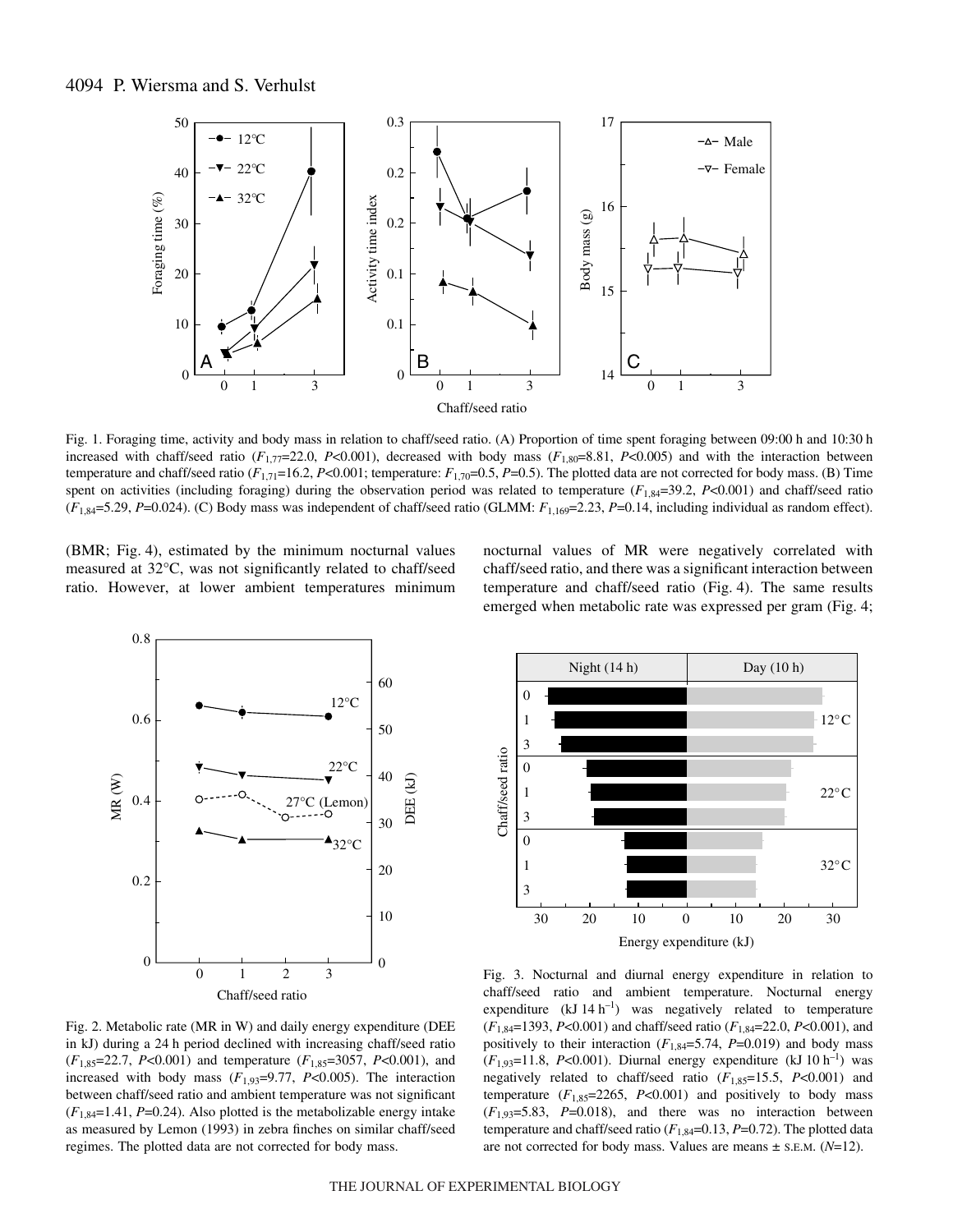

Fig. 1. Foraging time, activity and body mass in relation to chaff/seed ratio. (A) Proportion of time spent foraging between 09:00 h and 10:30 h increased with chaff/seed ratio  $(F_{1,77}=22.0, P<0.001)$ , decreased with body mass  $(F_{1,80}=8.81, P<0.005)$  and with the interaction between temperature and chaff/seed ratio ( $F_{1,71}=16.2$ ,  $P<0.001$ ; temperature:  $F_{1,70}=0.5$ ,  $P=0.5$ ). The plotted data are not corrected for body mass. (B) Time spent on activities (including foraging) during the observation period was related to temperature  $(F_{1,84}=39.2, P<0.001)$  and chaff/seed ratio  $(F_{1,84}=5.29, P=0.024)$ . (C) Body mass was independent of chaff/seed ratio (GLMM:  $F_{1,169}=2.23, P=0.14$ , including individual as random effect).

(BMR; Fig. 4), estimated by the minimum nocturnal values measured at 32°C, was not significantly related to chaff/seed ratio. However, at lower ambient temperatures minimum nocturnal values of MR were negatively correlated with chaff/seed ratio, and there was a significant interaction between temperature and chaff/seed ratio (Fig. 4). The same results emerged when metabolic rate was expressed per gram (Fig. 4;



Fig. 2. Metabolic rate (MR in W) and daily energy expenditure (DEE in kJ) during a 24 h period declined with increasing chaff/seed ratio (*F*1,85=22.7, *P*<0.001) and temperature (*F*1,85=3057, *P*<0.001), and increased with body mass  $(F_{1,93}=9.77, P<0.005)$ . The interaction between chaff/seed ratio and ambient temperature was not significant  $(F_{1,84}=1.41, P=0.24)$ . Also plotted is the metabolizable energy intake as measured by Lemon (1993) in zebra finches on similar chaff/seed regimes. The plotted data are not corrected for body mass.



Fig. 3. Nocturnal and diurnal energy expenditure in relation to chaff/seed ratio and ambient temperature. Nocturnal energy expenditure  $(kJ 14 h^{-1})$  was negatively related to temperature (*F*1,84=1393, *P*<0.001) and chaff/seed ratio (*F*1,84=22.0, *P*<0.001), and positively to their interaction  $(F_{1,84}=5.74, P=0.019)$  and body mass  $(F_{1,93}=11.8, P<0.001)$ . Diurnal energy expenditure (kJ 10 h<sup>-1</sup>) was negatively related to chaff/seed ratio  $(F_{1,85}=15.5, P<0.001)$  and temperature  $(F_{1,85}=2265, P<0.001)$  and positively to body mass  $(F_{1,93}=5.83, P=0.018)$ , and there was no interaction between temperature and chaff/seed ratio  $(F_{1,84}=0.13, P=0.72)$ . The plotted data are not corrected for body mass. Values are means ± S.E.M. (*N*=12).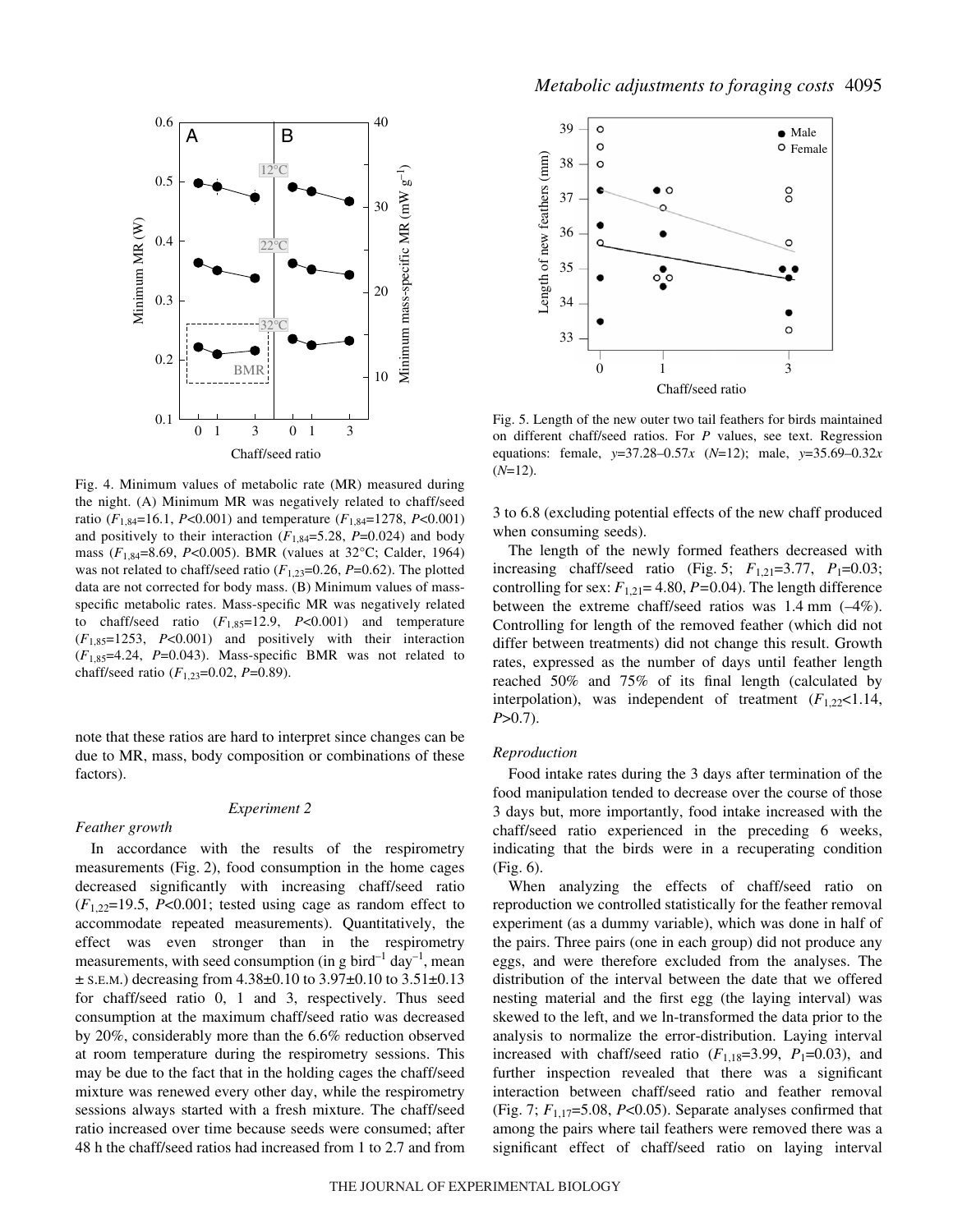

Fig. 4. Minimum values of metabolic rate (MR) measured during the night. (A) Minimum MR was negatively related to chaff/seed ratio ( $F_{1,84}$ =16.1, *P*<0.001) and temperature ( $F_{1,84}$ =1278, *P*<0.001) and positively to their interaction  $(F_{1,84}=5.28, P=0.024)$  and body mass (*F*1,84=8.69, *P*<0.005). BMR (values at 32°C; Calder, 1964) was not related to chaff/seed ratio  $(F_{1,23}=0.26, P=0.62)$ . The plotted data are not corrected for body mass. (B) Minimum values of massspecific metabolic rates. Mass-specific MR was negatively related to chaff/seed ratio  $(F_{1,85}=12.9, P<0.001)$  and temperature (*F*1,85=1253, *P*<0.001) and positively with their interaction  $(F_{1.85} = 4.24, P = 0.043)$ . Mass-specific BMR was not related to chaff/seed ratio (*F*1,23=0.02, *P*=0.89).

note that these ratios are hard to interpret since changes can be due to MR, mass, body composition or combinations of these factors).

#### *Experiment 2*

#### *Feather growth*

In accordance with the results of the respirometry measurements (Fig. 2), food consumption in the home cages decreased significantly with increasing chaff/seed ratio  $(F_{1,22}=19.5, P<0.001$ ; tested using cage as random effect to accommodate repeated measurements). Quantitatively, the effect was even stronger than in the respirometry measurements, with seed consumption (in g bird<sup>-1</sup> day<sup>-1</sup>, mean ± S.E.M.) decreasing from 4.38±0.10 to 3.97±0.10 to 3.51±0.13 for chaff/seed ratio 0, 1 and 3, respectively. Thus seed consumption at the maximum chaff/seed ratio was decreased by 20%, considerably more than the 6.6% reduction observed at room temperature during the respirometry sessions. This may be due to the fact that in the holding cages the chaff/seed mixture was renewed every other day, while the respirometry sessions always started with a fresh mixture. The chaff/seed ratio increased over time because seeds were consumed; after 48 h the chaff/seed ratios had increased from 1 to 2.7 and from



Fig. 5. Length of the new outer two tail feathers for birds maintained on different chaff/seed ratios. For *P* values, see text. Regression equations: female, *y*=37.28–0.57*x* (*N*=12); male, *y*=35.69–0.32*x* (*N*=12).

3 to 6.8 (excluding potential effects of the new chaff produced when consuming seeds).

The length of the newly formed feathers decreased with increasing chaff/seed ratio (Fig. 5;  $F_{1,21} = 3.77$ ,  $P_1 = 0.03$ ; controlling for sex:  $F_{1,21}$ = 4.80, *P*=0.04). The length difference between the extreme chaff/seed ratios was  $1.4 \text{ mm } (-4\%)$ . Controlling for length of the removed feather (which did not differ between treatments) did not change this result. Growth rates, expressed as the number of days until feather length reached 50% and 75% of its final length (calculated by interpolation), was independent of treatment  $(F_{1,22} < 1.14,$ *P*>0.7).

# *Reproduction*

Food intake rates during the 3 days after termination of the food manipulation tended to decrease over the course of those 3 days but, more importantly, food intake increased with the chaff/seed ratio experienced in the preceding 6 weeks, indicating that the birds were in a recuperating condition  $(Fig. 6)$ .

When analyzing the effects of chaff/seed ratio on reproduction we controlled statistically for the feather removal experiment (as a dummy variable), which was done in half of the pairs. Three pairs (one in each group) did not produce any eggs, and were therefore excluded from the analyses. The distribution of the interval between the date that we offered nesting material and the first egg (the laying interval) was skewed to the left, and we ln-transformed the data prior to the analysis to normalize the error-distribution. Laying interval increased with chaff/seed ratio  $(F_{1,18}=3.99, P_{1}=0.03)$ , and further inspection revealed that there was a significant interaction between chaff/seed ratio and feather removal (Fig. 7;  $F_{1,17}$ =5.08, *P*<0.05). Separate analyses confirmed that among the pairs where tail feathers were removed there was a significant effect of chaff/seed ratio on laying interval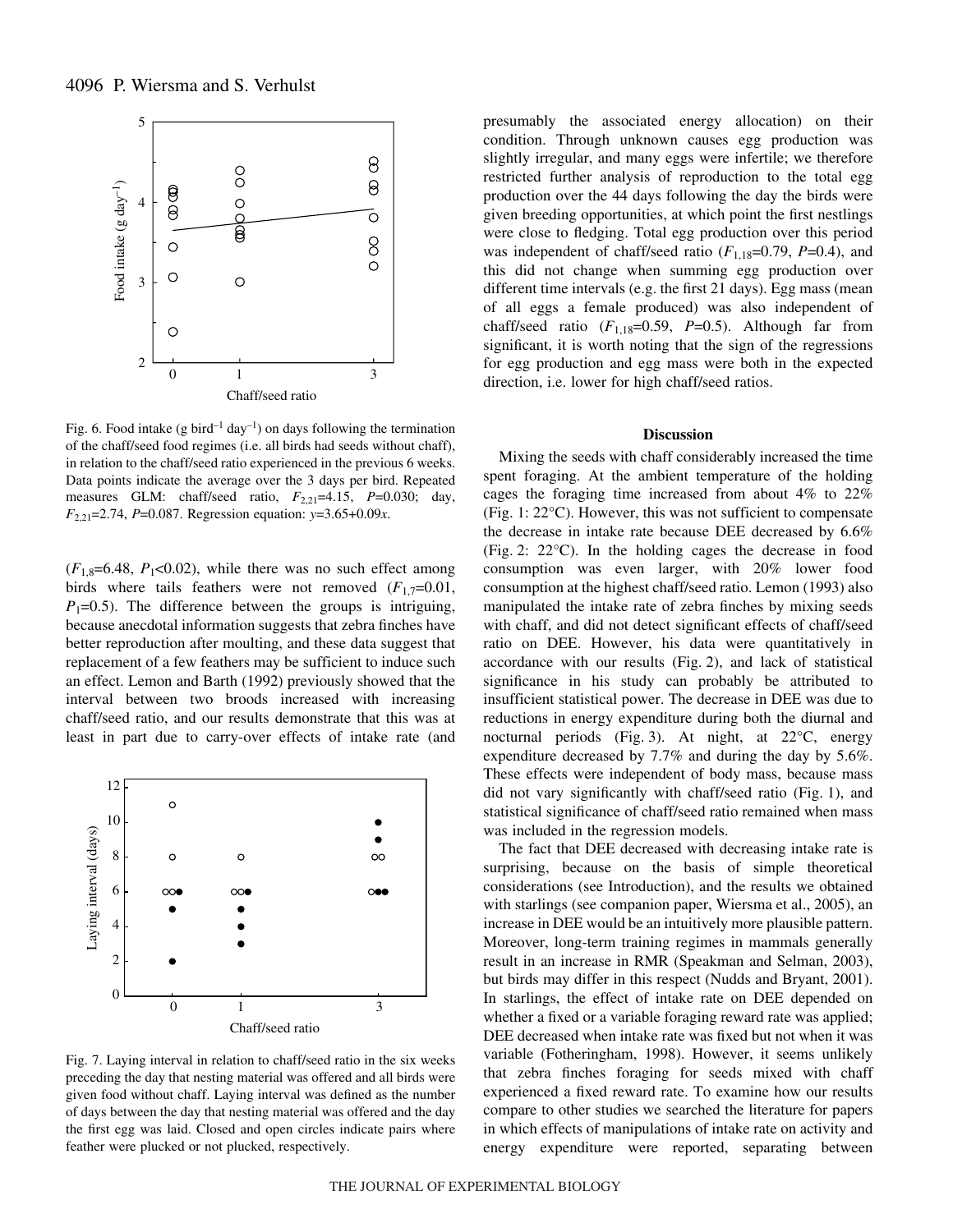

Fig. 6. Food intake (g bird<sup>-1</sup> day<sup>-1</sup>) on days following the termination of the chaff/seed food regimes (i.e. all birds had seeds without chaff), in relation to the chaff/seed ratio experienced in the previous 6 weeks. Data points indicate the average over the 3 days per bird. Repeated measures GLM: chaff/seed ratio,  $F_{2,21}$ =4.15, *P*=0.030; day, *F*2,21=2.74, *P*=0.087. Regression equation: *y*=3.65+0.09*x*.

 $(F_{1,8}=6.48, P_1<0.02)$ , while there was no such effect among birds where tails feathers were not removed  $(F_{1,7}=0.01,$  $P_1=0.5$ ). The difference between the groups is intriguing, because anecdotal information suggests that zebra finches have better reproduction after moulting, and these data suggest that replacement of a few feathers may be sufficient to induce such an effect. Lemon and Barth (1992) previously showed that the interval between two broods increased with increasing chaff/seed ratio, and our results demonstrate that this was at least in part due to carry-over effects of intake rate (and



Fig. 7. Laying interval in relation to chaff/seed ratio in the six weeks preceding the day that nesting material was offered and all birds were given food without chaff. Laying interval was defined as the number of days between the day that nesting material was offered and the day the first egg was laid. Closed and open circles indicate pairs where feather were plucked or not plucked, respectively.

presumably the associated energy allocation) on their condition. Through unknown causes egg production was slightly irregular, and many eggs were infertile; we therefore restricted further analysis of reproduction to the total egg production over the 44 days following the day the birds were given breeding opportunities, at which point the first nestlings were close to fledging. Total egg production over this period was independent of chaff/seed ratio  $(F_{1,18}=0.79, P=0.4)$ , and this did not change when summing egg production over different time intervals (e.g. the first 21 days). Egg mass (mean of all eggs a female produced) was also independent of chaff/seed ratio  $(F_{1,18}=0.59, P=0.5)$ . Although far from significant, it is worth noting that the sign of the regressions for egg production and egg mass were both in the expected direction, i.e. lower for high chaff/seed ratios.

#### **Discussion**

Mixing the seeds with chaff considerably increased the time spent foraging. At the ambient temperature of the holding cages the foraging time increased from about 4% to 22% (Fig. 1:  $22^{\circ}$ C). However, this was not sufficient to compensate the decrease in intake rate because DEE decreased by 6.6% (Fig. 2:  $22^{\circ}$ C). In the holding cages the decrease in food consumption was even larger, with 20% lower food consumption at the highest chaff/seed ratio. Lemon (1993) also manipulated the intake rate of zebra finches by mixing seeds with chaff, and did not detect significant effects of chaff/seed ratio on DEE. However, his data were quantitatively in accordance with our results (Fig. 2), and lack of statistical significance in his study can probably be attributed to insufficient statistical power. The decrease in DEE was due to reductions in energy expenditure during both the diurnal and nocturnal periods (Fig. 3). At night, at  $22^{\circ}$ C, energy expenditure decreased by 7.7% and during the day by 5.6%. These effects were independent of body mass, because mass did not vary significantly with chaff/seed ratio (Fig. 1), and statistical significance of chaff/seed ratio remained when mass was included in the regression models.

The fact that DEE decreased with decreasing intake rate is surprising, because on the basis of simple theoretical considerations (see Introduction), and the results we obtained with starlings (see companion paper, Wiersma et al., 2005), an increase in DEE would be an intuitively more plausible pattern. Moreover, long-term training regimes in mammals generally result in an increase in RMR (Speakman and Selman, 2003), but birds may differ in this respect (Nudds and Bryant, 2001). In starlings, the effect of intake rate on DEE depended on whether a fixed or a variable foraging reward rate was applied; DEE decreased when intake rate was fixed but not when it was variable (Fotheringham, 1998). However, it seems unlikely that zebra finches foraging for seeds mixed with chaff experienced a fixed reward rate. To examine how our results compare to other studies we searched the literature for papers in which effects of manipulations of intake rate on activity and energy expenditure were reported, separating between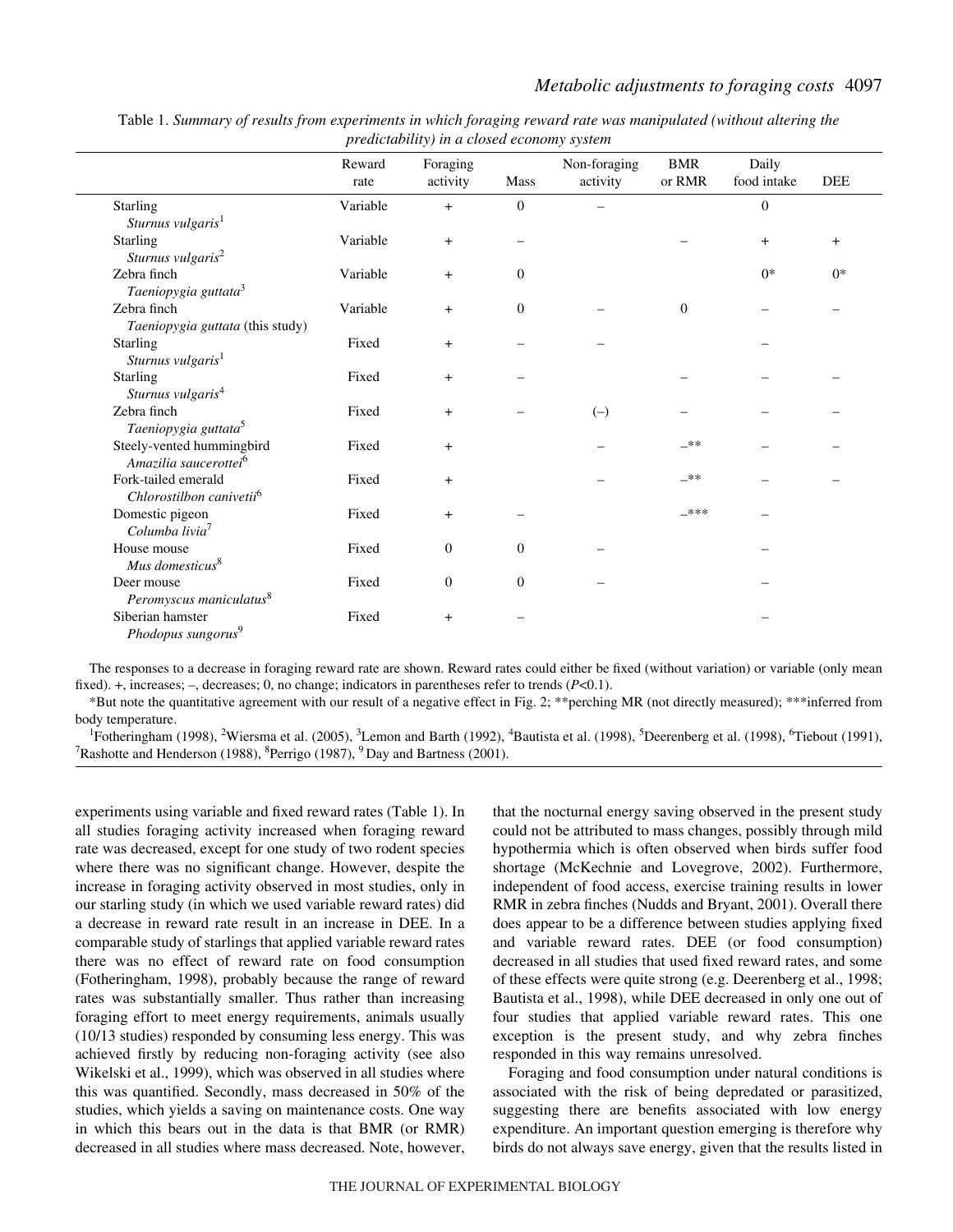|                                                                | Reward<br>rate | Foraging<br>activity | Mass             | Non-foraging<br>activity | <b>BMR</b><br>or RMR | Daily<br>food intake | <b>DEE</b> |  |
|----------------------------------------------------------------|----------------|----------------------|------------------|--------------------------|----------------------|----------------------|------------|--|
| Starling                                                       | Variable       | $+$                  | $\overline{0}$   |                          |                      | $\overline{0}$       |            |  |
| Sturnus vulgaris <sup>1</sup>                                  |                |                      |                  |                          |                      |                      |            |  |
| <b>Starling</b><br>Sturnus vulgaris <sup>2</sup>               | Variable       | $+$                  |                  |                          |                      | $+$                  | $+$        |  |
| Zebra finch                                                    | Variable       | $+$                  | $\theta$         |                          |                      | $0*$                 | $0^*$      |  |
| Taeniopygia guttata <sup>3</sup>                               |                |                      |                  |                          |                      |                      |            |  |
| Zebra finch                                                    | Variable       | $+$                  | $\mathbf{0}$     |                          | $\theta$             |                      |            |  |
| Taeniopygia guttata (this study)                               |                |                      |                  |                          |                      |                      |            |  |
| <b>Starling</b><br>Sturnus vulgaris <sup>1</sup>               | Fixed          | $+$                  |                  |                          |                      |                      |            |  |
| <b>Starling</b><br>Sturnus vulgaris <sup>4</sup>               | Fixed          | $+$                  |                  |                          |                      |                      |            |  |
| Zebra finch<br>Taeniopygia guttata <sup>5</sup>                | Fixed          | $+$                  |                  | $(-)$                    |                      |                      |            |  |
| Steely-vented hummingbird<br>Amazilia saucerottei <sup>6</sup> | Fixed          | $+$                  |                  |                          | $-**$                |                      |            |  |
| Fork-tailed emerald<br>Chlorostilbon canivetii <sup>6</sup>    | Fixed          | $+$                  |                  |                          | —**                  |                      |            |  |
| Domestic pigeon<br>Columba livia <sup>7</sup>                  | Fixed          | $\ddot{}$            |                  |                          | $-***$               |                      |            |  |
| House mouse<br>Mus domesticus <sup>8</sup>                     | Fixed          | $\theta$             | $\boldsymbol{0}$ |                          |                      |                      |            |  |
| Deer mouse<br>Peromyscus maniculatus <sup>8</sup>              | Fixed          | $\theta$             | $\theta$         |                          |                      |                      |            |  |
| Siberian hamster<br>Phodopus sungorus <sup>9</sup>             | Fixed          | $\overline{+}$       |                  |                          |                      |                      |            |  |

Table 1. Summary of results from experiments in which foraging reward rate was manipulated (without altering the *predictability) in a closed economy system* 

The responses to a decrease in foraging reward rate are shown. Reward rates could either be fixed (without variation) or variable (only mean fixed). +, increases; –, decreases; 0, no change; indicators in parentheses refer to trends (*P*<0.1).

\*But note the quantitative agreement with our result of a negative effect in Fig. 2; \*\*perching MR (not directly measured); \*\*\*inferred from body temperature.

<sup>1</sup>Fotheringham (1998), <sup>2</sup>Wiersma et al. (2005), <sup>3</sup>Lemon and Barth (1992), <sup>4</sup>Bautista et al. (1998), <sup>5</sup>Deerenberg et al. (1998), <sup>6</sup>Tiebout (1991), <sup>7</sup>Rashotte and Henderson (1988), <sup>8</sup>Perrigo (1987), <sup>9</sup> Day and Bartness (2001).

experiments using variable and fixed reward rates (Table 1). In all studies foraging activity increased when foraging reward rate was decreased, except for one study of two rodent species where there was no significant change. However, despite the increase in foraging activity observed in most studies, only in our starling study (in which we used variable reward rates) did a decrease in reward rate result in an increase in DEE. In a comparable study of starlings that applied variable reward rates there was no effect of reward rate on food consumption (Fotheringham, 1998), probably because the range of reward rates was substantially smaller. Thus rather than increasing foraging effort to meet energy requirements, animals usually (10/13 studies) responded by consuming less energy. This was achieved firstly by reducing non-foraging activity (see also Wikelski et al., 1999), which was observed in all studies where this was quantified. Secondly, mass decreased in 50% of the studies, which yields a saving on maintenance costs. One way in which this bears out in the data is that BMR (or RMR) decreased in all studies where mass decreased. Note, however,

that the nocturnal energy saving observed in the present study could not be attributed to mass changes, possibly through mild hypothermia which is often observed when birds suffer food shortage (McKechnie and Lovegrove, 2002). Furthermore, independent of food access, exercise training results in lower RMR in zebra finches (Nudds and Bryant, 2001). Overall there does appear to be a difference between studies applying fixed and variable reward rates. DEE (or food consumption) decreased in all studies that used fixed reward rates, and some of these effects were quite strong (e.g. Deerenberg et al., 1998; Bautista et al., 1998), while DEE decreased in only one out of four studies that applied variable reward rates. This one exception is the present study, and why zebra finches responded in this way remains unresolved.

Foraging and food consumption under natural conditions is associated with the risk of being depredated or parasitized, suggesting there are benefits associated with low energy expenditure. An important question emerging is therefore why birds do not always save energy, given that the results listed in